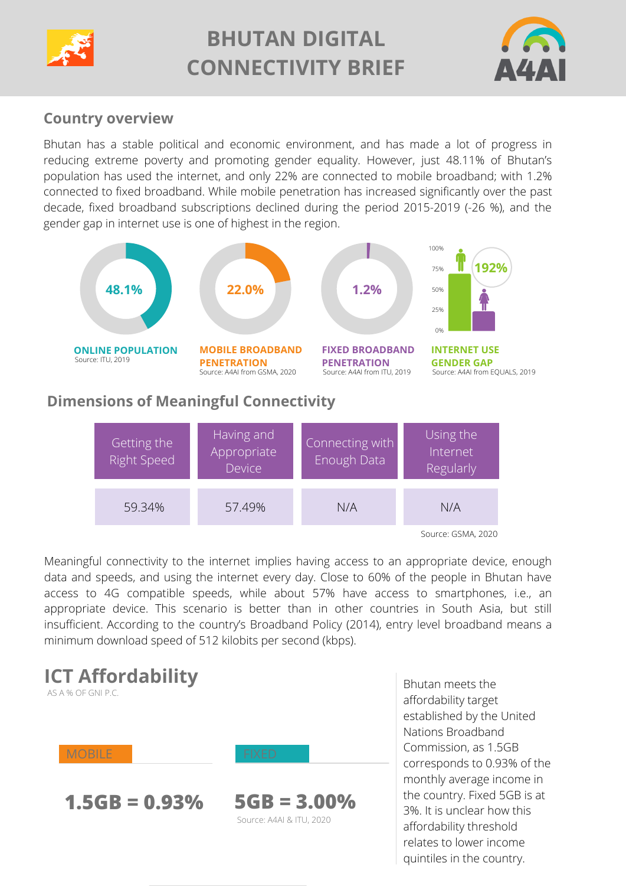

# **BHUTAN DIGITAL CONNECTIVITY BRIEF**



# **Country overview**

Bhutan has a stable political and economic environment, and has made a lot of progress in reducing extreme poverty and promoting [gender equality.](https://www.worldbank.org/en/country/bhutan/overview) However, just 48.11% of Bhutan's population has used the internet, and only 22% are connected to mobile broadband; with 1.2% [connected to fixed broadband. While mobile penetration has increased significantly over the past](https://www.itu.int/pub/D-IND-DIG_TRENDS_ASP.01-2021) decade, fixed broadband subscriptions declined during the period 2015-2019 (-26 %), and the gender gap in internet use is one of highest in the region.





Meaningful connectivity to the internet implies having access to an appropriate device, enough data and speeds, and using the internet every day. Close to 60% of the people in Bhutan have access to 4G compatible speeds, while about 57% have access to smartphones, i.e., an appropriate device. This scenario is better than in other countries in South Asia, but still [insufficient. According to the country's Broadband Policy \(2014\), entry level broadband means a](https://www.dit.gov.bt/sites/default/files/bhutan_telecommunications_and_broadband_policy_pdf_16764.pdf) minimum download speed of 512 kilobits per second (kbps).



Source: A4AI & ITU, 2020

Bhutan meets the affordability target [established by the United](https://www.itu.int/en/mediacentre/Pages/2018-PR01.aspx) Nations Broadband Commission, as 1.5GB corresponds to 0.93% of the monthly average income in the country. Fixed 5GB is at 3%. It is unclear how this affordability threshold relates to lower income quintiles in the country.